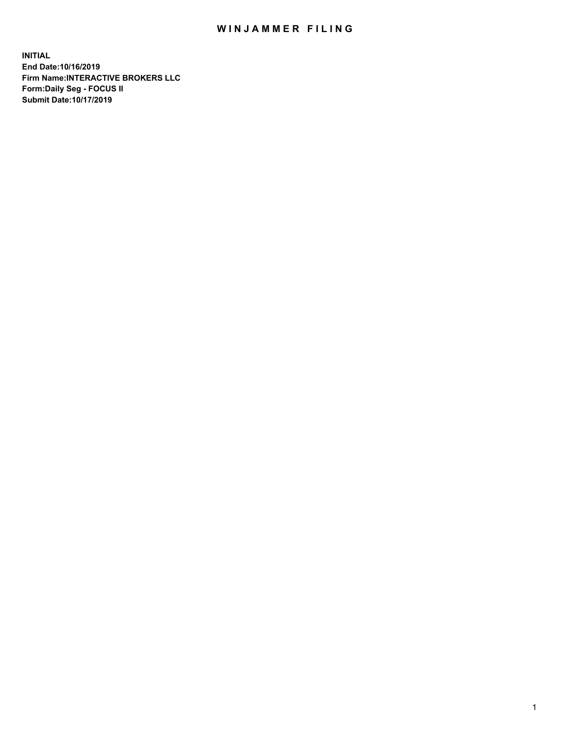## WIN JAMMER FILING

**INITIAL End Date:10/16/2019 Firm Name:INTERACTIVE BROKERS LLC Form:Daily Seg - FOCUS II Submit Date:10/17/2019**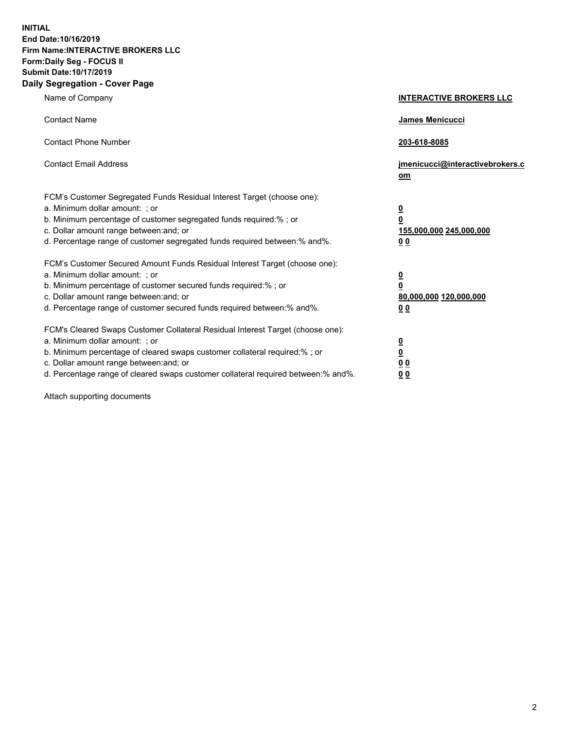**INITIAL End Date:10/16/2019 Firm Name:INTERACTIVE BROKERS LLC Form:Daily Seg - FOCUS II Submit Date:10/17/2019 Daily Segregation - Cover Page**

| Name of Company                                                                                                                                                                                                                                                                                                                | <b>INTERACTIVE BROKERS LLC</b>                                                                  |
|--------------------------------------------------------------------------------------------------------------------------------------------------------------------------------------------------------------------------------------------------------------------------------------------------------------------------------|-------------------------------------------------------------------------------------------------|
| <b>Contact Name</b>                                                                                                                                                                                                                                                                                                            | James Menicucci                                                                                 |
| <b>Contact Phone Number</b>                                                                                                                                                                                                                                                                                                    | 203-618-8085                                                                                    |
| <b>Contact Email Address</b>                                                                                                                                                                                                                                                                                                   | jmenicucci@interactivebrokers.c<br>om                                                           |
| FCM's Customer Segregated Funds Residual Interest Target (choose one):<br>a. Minimum dollar amount: ; or<br>b. Minimum percentage of customer segregated funds required:%; or<br>c. Dollar amount range between: and; or<br>d. Percentage range of customer segregated funds required between:% and%.                          | $\overline{\mathbf{0}}$<br>$\overline{\mathbf{0}}$<br>155,000,000 245,000,000<br>0 <sub>0</sub> |
| FCM's Customer Secured Amount Funds Residual Interest Target (choose one):<br>a. Minimum dollar amount: ; or<br>b. Minimum percentage of customer secured funds required:% ; or<br>c. Dollar amount range between: and; or<br>d. Percentage range of customer secured funds required between:% and%.                           | $\overline{\mathbf{0}}$<br>$\overline{\mathbf{0}}$<br>80,000,000 120,000,000<br>0 <sub>0</sub>  |
| FCM's Cleared Swaps Customer Collateral Residual Interest Target (choose one):<br>a. Minimum dollar amount: ; or<br>b. Minimum percentage of cleared swaps customer collateral required:% ; or<br>c. Dollar amount range between: and; or<br>d. Percentage range of cleared swaps customer collateral required between:% and%. | $\overline{\mathbf{0}}$<br>$\underline{\mathbf{0}}$<br>0 <sub>0</sub><br>0 <sub>0</sub>         |

Attach supporting documents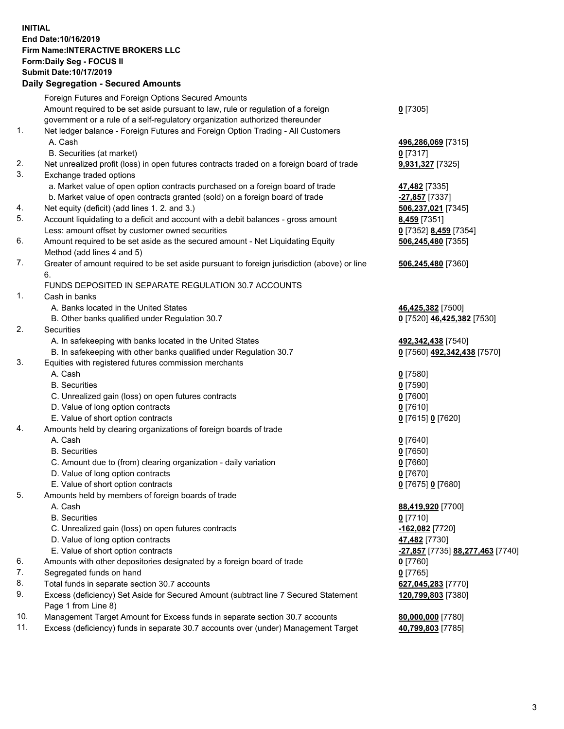## **INITIAL End Date:10/16/2019 Firm Name:INTERACTIVE BROKERS LLC Form:Daily Seg - FOCUS II Submit Date:10/17/2019 Daily Segregation - Secured Amounts**

|     | Daily Segregation - Secured Amounts                                                         |                                                      |
|-----|---------------------------------------------------------------------------------------------|------------------------------------------------------|
|     | Foreign Futures and Foreign Options Secured Amounts                                         |                                                      |
|     | Amount required to be set aside pursuant to law, rule or regulation of a foreign            | $0$ [7305]                                           |
|     | government or a rule of a self-regulatory organization authorized thereunder                |                                                      |
| 1.  | Net ledger balance - Foreign Futures and Foreign Option Trading - All Customers             |                                                      |
|     | A. Cash                                                                                     | 496,286,069 [7315]                                   |
|     | B. Securities (at market)                                                                   | $0$ [7317]                                           |
| 2.  | Net unrealized profit (loss) in open futures contracts traded on a foreign board of trade   | 9,931,327 [7325]                                     |
| 3.  | Exchange traded options                                                                     |                                                      |
|     | a. Market value of open option contracts purchased on a foreign board of trade              | 47,482 [7335]                                        |
|     | b. Market value of open contracts granted (sold) on a foreign board of trade                | -27,857 [7337]                                       |
| 4.  | Net equity (deficit) (add lines 1.2. and 3.)                                                | 506,237,021 [7345]                                   |
| 5.  | Account liquidating to a deficit and account with a debit balances - gross amount           | 8,459 [7351]                                         |
|     | Less: amount offset by customer owned securities                                            | 0 [7352] 8,459 [7354]                                |
| 6.  | Amount required to be set aside as the secured amount - Net Liquidating Equity              | 506,245,480 [7355]                                   |
|     | Method (add lines 4 and 5)                                                                  |                                                      |
| 7.  | Greater of amount required to be set aside pursuant to foreign jurisdiction (above) or line | 506,245,480 [7360]                                   |
|     | 6.                                                                                          |                                                      |
|     | FUNDS DEPOSITED IN SEPARATE REGULATION 30.7 ACCOUNTS                                        |                                                      |
| 1.  | Cash in banks                                                                               |                                                      |
|     | A. Banks located in the United States                                                       | 46,425,382 [7500]                                    |
|     | B. Other banks qualified under Regulation 30.7                                              | 0 [7520] 46,425,382 [7530]                           |
| 2.  | Securities                                                                                  |                                                      |
|     | A. In safekeeping with banks located in the United States                                   | 492,342,438 [7540]                                   |
|     | B. In safekeeping with other banks qualified under Regulation 30.7                          | 0 [7560] 492,342,438 [7570]                          |
| 3.  | Equities with registered futures commission merchants                                       |                                                      |
|     | A. Cash                                                                                     | $0$ [7580]                                           |
|     | <b>B.</b> Securities                                                                        | $0$ [7590]                                           |
|     | C. Unrealized gain (loss) on open futures contracts                                         | $0$ [7600]                                           |
|     | D. Value of long option contracts                                                           | $0$ [7610]                                           |
|     | E. Value of short option contracts                                                          | 0 [7615] 0 [7620]                                    |
| 4.  | Amounts held by clearing organizations of foreign boards of trade                           |                                                      |
|     | A. Cash                                                                                     | $0$ [7640]                                           |
|     | <b>B.</b> Securities                                                                        | $0$ [7650]                                           |
|     | C. Amount due to (from) clearing organization - daily variation                             | $0$ [7660]                                           |
|     | D. Value of long option contracts                                                           | $0$ [7670]                                           |
| 5.  | E. Value of short option contracts                                                          | 0 [7675] 0 [7680]                                    |
|     | Amounts held by members of foreign boards of trade                                          |                                                      |
|     | A. Cash<br><b>B.</b> Securities                                                             | 88,419,920 [7700]<br>$0$ [7710]                      |
|     | C. Unrealized gain (loss) on open futures contracts                                         | -162,082 [7720]                                      |
|     | D. Value of long option contracts                                                           | 47,482 [7730]                                        |
|     | E. Value of short option contracts                                                          | <mark>-27,857</mark> [7735] <b>88,277,463</b> [7740] |
| 6.  | Amounts with other depositories designated by a foreign board of trade                      | $0$ [7760]                                           |
| 7.  | Segregated funds on hand                                                                    | $0$ [7765]                                           |
| 8.  | Total funds in separate section 30.7 accounts                                               | 627,045,283 [7770]                                   |
| 9.  | Excess (deficiency) Set Aside for Secured Amount (subtract line 7 Secured Statement         | 120,799,803 [7380]                                   |
|     | Page 1 from Line 8)                                                                         |                                                      |
| 10. | Management Target Amount for Excess funds in separate section 30.7 accounts                 | 80,000,000 [7780]                                    |
| 11. | Excess (deficiency) funds in separate 30.7 accounts over (under) Management Target          | 40,799,803 [7785]                                    |
|     |                                                                                             |                                                      |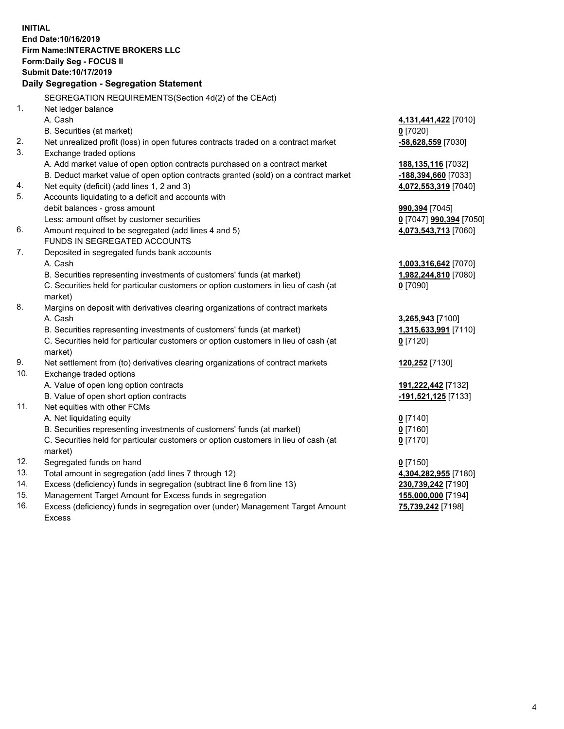**INITIAL End Date:10/16/2019 Firm Name:INTERACTIVE BROKERS LLC Form:Daily Seg - FOCUS II Submit Date:10/17/2019 Daily Segregation - Segregation Statement** SEGREGATION REQUIREMENTS(Section 4d(2) of the CEAct) 1. Net ledger balance A. Cash **4,131,441,422** [7010] B. Securities (at market) **0** [7020] 2. Net unrealized profit (loss) in open futures contracts traded on a contract market **-58,628,559** [7030] 3. Exchange traded options A. Add market value of open option contracts purchased on a contract market **188,135,116** [7032] B. Deduct market value of open option contracts granted (sold) on a contract market **-188,394,660** [7033] 4. Net equity (deficit) (add lines 1, 2 and 3) **4,072,553,319** [7040] 5. Accounts liquidating to a deficit and accounts with debit balances - gross amount **990,394** [7045] Less: amount offset by customer securities **0** [7047] **990,394** [7050] 6. Amount required to be segregated (add lines 4 and 5) **4,073,543,713** [7060] FUNDS IN SEGREGATED ACCOUNTS 7. Deposited in segregated funds bank accounts A. Cash **1,003,316,642** [7070] B. Securities representing investments of customers' funds (at market) **1,982,244,810** [7080] C. Securities held for particular customers or option customers in lieu of cash (at market) **0** [7090] 8. Margins on deposit with derivatives clearing organizations of contract markets A. Cash **3,265,943** [7100] B. Securities representing investments of customers' funds (at market) **1,315,633,991** [7110] C. Securities held for particular customers or option customers in lieu of cash (at market) **0** [7120] 9. Net settlement from (to) derivatives clearing organizations of contract markets **120,252** [7130] 10. Exchange traded options A. Value of open long option contracts **191,222,442** [7132] B. Value of open short option contracts **-191,521,125** [7133] 11. Net equities with other FCMs A. Net liquidating equity **0** [7140] B. Securities representing investments of customers' funds (at market) **0** [7160] C. Securities held for particular customers or option customers in lieu of cash (at market) **0** [7170] 12. Segregated funds on hand **0** [7150] 13. Total amount in segregation (add lines 7 through 12) **4,304,282,955** [7180] 14. Excess (deficiency) funds in segregation (subtract line 6 from line 13) **230,739,242** [7190] 15. Management Target Amount for Excess funds in segregation **155,000,000** [7194] 16. Excess (deficiency) funds in segregation over (under) Management Target Amount **75,739,242** [7198]

Excess